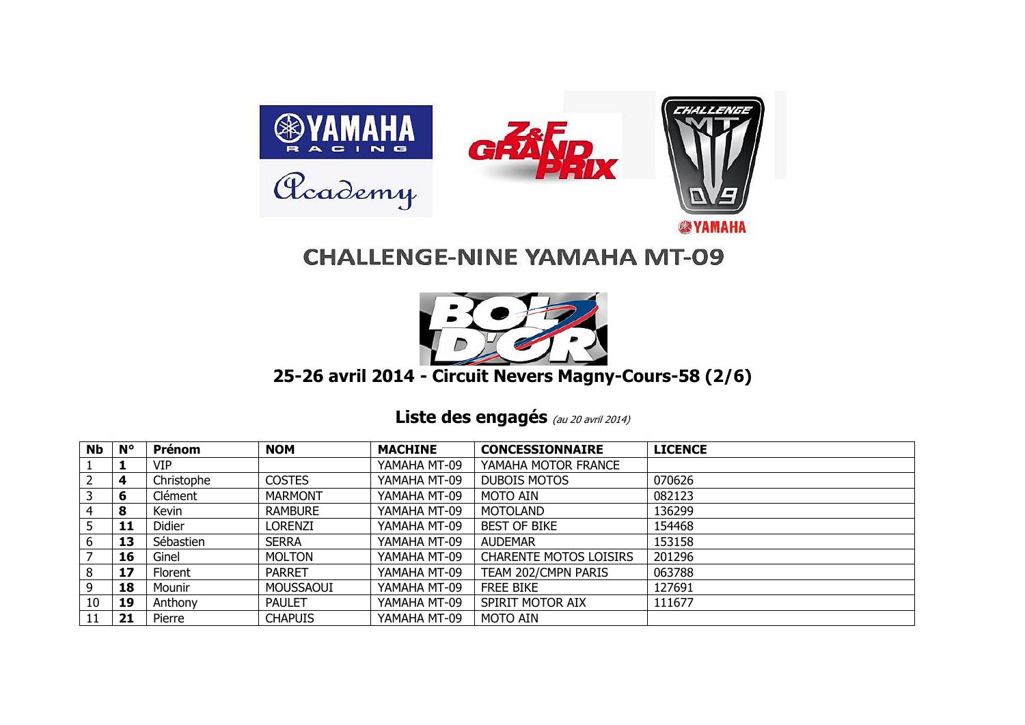

## **CHALLENGE-NINE YAMAHA MT-09**



## **25-26 avril 2014 - Circuit Nevers Magny-Cours-58 (2/6)**

Liste des engagés (au 20 avril 2014)

| <b>Nb</b> | $N^{\circ}$ | Prénom     | <b>NOM</b>     | <b>MACHINE</b> | <b>CONCESSIONNAIRE</b>        | <b>LICENCE</b> |
|-----------|-------------|------------|----------------|----------------|-------------------------------|----------------|
|           |             | <b>VIP</b> |                | YAMAHA MT-09   | YAMAHA MOTOR FRANCE           |                |
|           | 4           | Christophe | <b>COSTES</b>  | YAMAHA MT-09   | <b>DUBOIS MOTOS</b>           | 070626         |
|           | 6           | Clément    | <b>MARMONT</b> | YAMAHA MT-09   | MOTO AIN                      | 082123         |
| 4         | 8           | Kevin      | <b>RAMBURE</b> | YAMAHA MT-09   | <b>MOTOLAND</b>               | 136299         |
|           | 11          | Didier     | Lorenzi        | YAMAHA MT-09   | <b>BEST OF BIKE</b>           | 154468         |
| b         | 13          | Sébastien  | <b>SERRA</b>   | YAMAHA MT-09   | <b>AUDEMAR</b>                | 153158         |
|           | 16          | Ginel      | <b>MOLTON</b>  | YAMAHA MT-09   | <b>CHARENTE MOTOS LOISIRS</b> | 201296         |
| 8         | 17          | Florent    | <b>PARRET</b>  | YAMAHA MT-09   | TEAM 202/CMPN PARIS           | 063788         |
| 9         | 18          | Mounir     | MOUSSAOUI      | YAMAHA MT-09   | <b>FREE BIKE</b>              | 127691         |
| 10        | 19          | Anthony    | <b>PAULET</b>  | YAMAHA MT-09   | SPIRIT MOTOR AIX              | 111677         |
|           | 21          | Pierre     | CHAPUIS        | YAMAHA MT-09   | MOTO AIN                      |                |